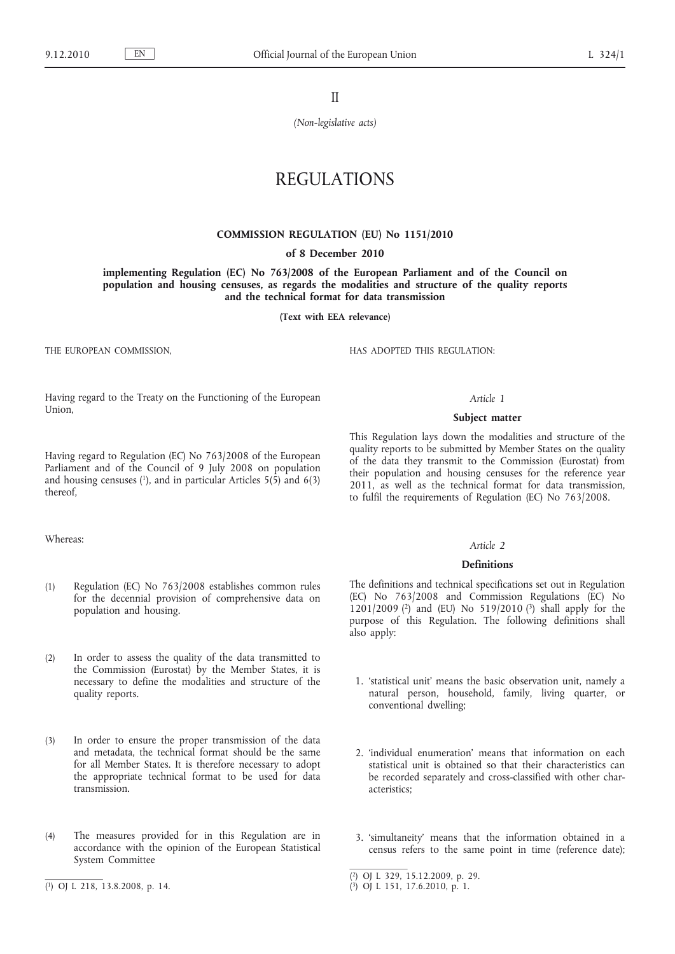II

*(Non-legislative acts)*

# REGULATIONS

#### **COMMISSION REGULATION (EU) No 1151/2010**

#### **of 8 December 2010**

**implementing Regulation (EC) No 763/2008 of the European Parliament and of the Council on population and housing censuses, as regards the modalities and structure of the quality reports and the technical format for data transmission**

**(Text with EEA relevance)**

THE EUROPEAN COMMISSION,

HAS ADOPTED THIS REGULATION:

Having regard to the Treaty on the Functioning of the European Union,

## *Article 1*

# **Subject matter**

Having regard to Regulation (EC) No 763/2008 of the European Parliament and of the Council of 9 July 2008 on population and housing censuses  $(1)$ , and in particular Articles  $5(5)$  and  $6(3)$ thereof,

# Whereas:

- (1) Regulation (EC) No 763/2008 establishes common rules for the decennial provision of comprehensive data on population and housing.
- (2) In order to assess the quality of the data transmitted to the Commission (Eurostat) by the Member States, it is necessary to define the modalities and structure of the quality reports.
- (3) In order to ensure the proper transmission of the data and metadata, the technical format should be the same for all Member States. It is therefore necessary to adopt the appropriate technical format to be used for data transmission.
- (4) The measures provided for in this Regulation are in accordance with the opinion of the European Statistical System Committee

This Regulation lays down the modalities and structure of the quality reports to be submitted by Member States on the quality of the data they transmit to the Commission (Eurostat) from their population and housing censuses for the reference year 2011, as well as the technical format for data transmission, to fulfil the requirements of Regulation (EC) No 763/2008.

#### *Article 2*

#### **Definitions**

The definitions and technical specifications set out in Regulation (EC) No 763/2008 and Commission Regulations (EC) No 1201/2009 (2) and (EU) No 519/2010 (3) shall apply for the purpose of this Regulation. The following definitions shall also apply:

- 1. 'statistical unit' means the basic observation unit, namely a natural person, household, family, living quarter, or conventional dwelling;
- 2. 'individual enumeration' means that information on each statistical unit is obtained so that their characteristics can be recorded separately and cross-classified with other characteristics;
- 3. 'simultaneity' means that the information obtained in a census refers to the same point in time (reference date);

<sup>(</sup> 1) OJ L 218, 13.8.2008, p. 14.

<sup>(</sup> 2) OJ L 329, 15.12.2009, p. 29.

<sup>(</sup> 3) OJ L 151, 17.6.2010, p. 1.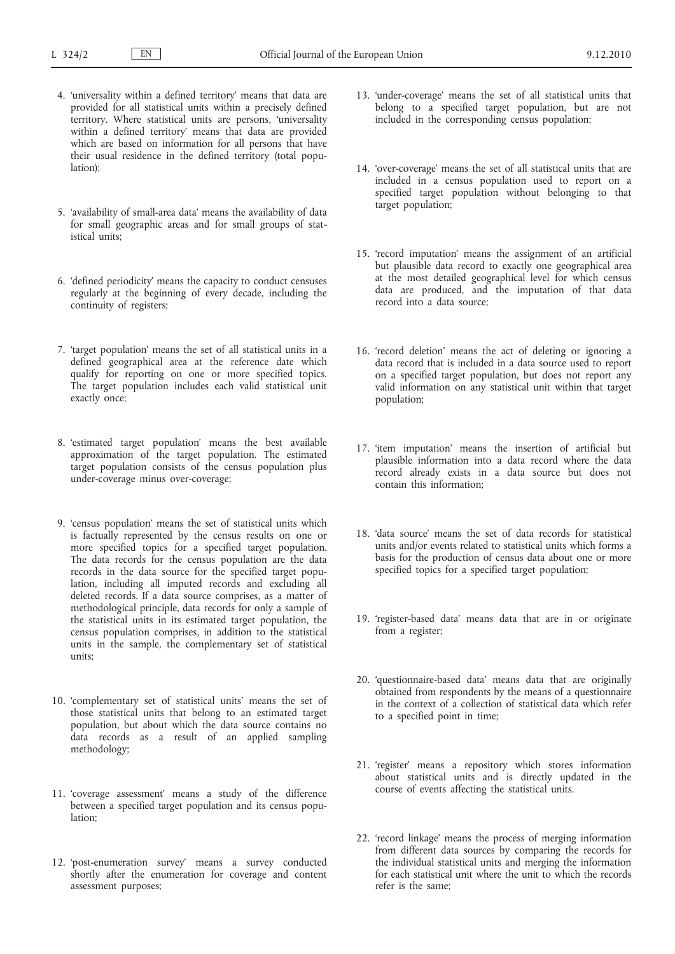- 4. 'universality within a defined territory' means that data are provided for all statistical units within a precisely defined territory. Where statistical units are persons, 'universality within a defined territory' means that data are provided which are based on information for all persons that have their usual residence in the defined territory (total population);
- 5. 'availability of small-area data' means the availability of data for small geographic areas and for small groups of statistical units;
- 6. 'defined periodicity' means the capacity to conduct censuses regularly at the beginning of every decade, including the continuity of registers;
- 7. 'target population' means the set of all statistical units in a defined geographical area at the reference date which qualify for reporting on one or more specified topics. The target population includes each valid statistical unit exactly once;
- 8. 'estimated target population' means the best available approximation of the target population. The estimated target population consists of the census population plus under-coverage minus over-coverage;
- 9. 'census population' means the set of statistical units which is factually represented by the census results on one or more specified topics for a specified target population. The data records for the census population are the data records in the data source for the specified target population, including all imputed records and excluding all deleted records. If a data source comprises, as a matter of methodological principle, data records for only a sample of the statistical units in its estimated target population, the census population comprises, in addition to the statistical units in the sample, the complementary set of statistical units;
- 10. 'complementary set of statistical units' means the set of those statistical units that belong to an estimated target population, but about which the data source contains no data records as a result of an applied sampling methodology;
- 11. 'coverage assessment' means a study of the difference between a specified target population and its census population;
- 12. 'post-enumeration survey' means a survey conducted shortly after the enumeration for coverage and content assessment purposes;
- 13. 'under-coverage' means the set of all statistical units that belong to a specified target population, but are not included in the corresponding census population;
- 14. 'over-coverage' means the set of all statistical units that are included in a census population used to report on a specified target population without belonging to that target population;
- 15. 'record imputation' means the assignment of an artificial but plausible data record to exactly one geographical area at the most detailed geographical level for which census data are produced, and the imputation of that data record into a data source;
- 16. 'record deletion' means the act of deleting or ignoring a data record that is included in a data source used to report on a specified target population, but does not report any valid information on any statistical unit within that target population;
- 17. 'item imputation' means the insertion of artificial but plausible information into a data record where the data record already exists in a data source but does not contain this information;
- 18. 'data source' means the set of data records for statistical units and/or events related to statistical units which forms a basis for the production of census data about one or more specified topics for a specified target population;
- 19. 'register-based data' means data that are in or originate from a register;
- 20. 'questionnaire-based data' means data that are originally obtained from respondents by the means of a questionnaire in the context of a collection of statistical data which refer to a specified point in time;
- 21. 'register' means a repository which stores information about statistical units and is directly updated in the course of events affecting the statistical units.
- 22. 'record linkage' means the process of merging information from different data sources by comparing the records for the individual statistical units and merging the information for each statistical unit where the unit to which the records refer is the same;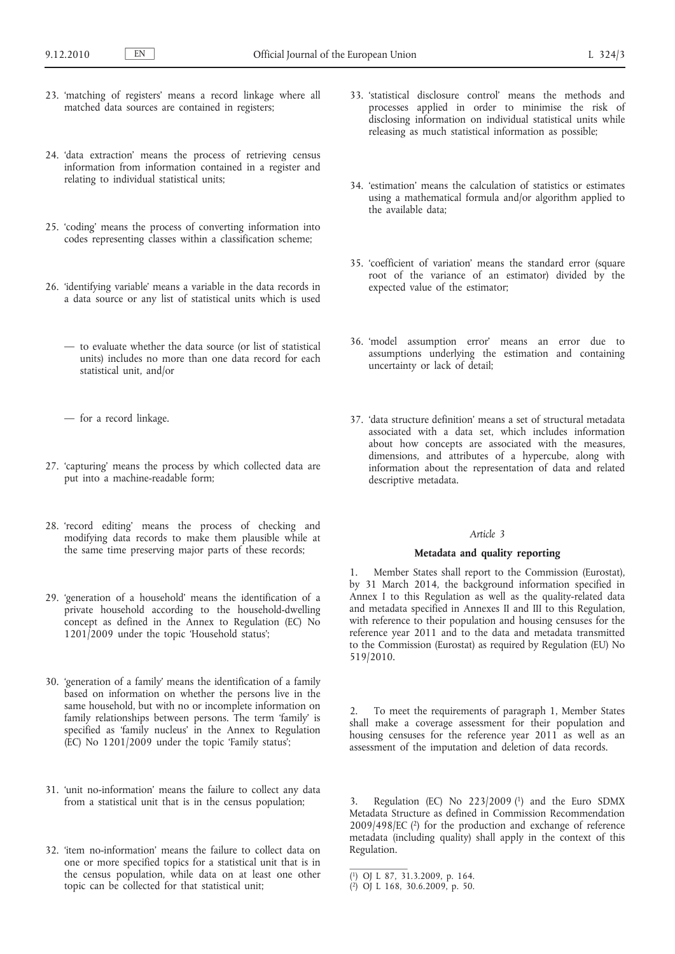- 23. 'matching of registers' means a record linkage where all matched data sources are contained in registers;
- 24. 'data extraction' means the process of retrieving census information from information contained in a register and relating to individual statistical units;
- 25. 'coding' means the process of converting information into codes representing classes within a classification scheme;
- 26. 'identifying variable' means a variable in the data records in a data source or any list of statistical units which is used
	- to evaluate whether the data source (or list of statistical units) includes no more than one data record for each statistical unit, and/or
	- for a record linkage.
- 27. 'capturing' means the process by which collected data are put into a machine-readable form;
- 28. 'record editing' means the process of checking and modifying data records to make them plausible while at the same time preserving major parts of these records;
- 29. 'generation of a household' means the identification of a private household according to the household-dwelling concept as defined in the Annex to Regulation (EC) No 1201/2009 under the topic 'Household status';
- 30. 'generation of a family' means the identification of a family based on information on whether the persons live in the same household, but with no or incomplete information on family relationships between persons. The term 'family' is specified as 'family nucleus' in the Annex to Regulation (EC) No 1201/2009 under the topic 'Family status';
- 31. 'unit no-information' means the failure to collect any data from a statistical unit that is in the census population;
- 32. 'item no-information' means the failure to collect data on one or more specified topics for a statistical unit that is in the census population, while data on at least one other topic can be collected for that statistical unit;
- 33. 'statistical disclosure control' means the methods and processes applied in order to minimise the risk of disclosing information on individual statistical units while releasing as much statistical information as possible;
- 34. 'estimation' means the calculation of statistics or estimates using a mathematical formula and/or algorithm applied to the available data;
- 35. 'coefficient of variation' means the standard error (square root of the variance of an estimator) divided by the expected value of the estimator;
- 36. 'model assumption error' means an error due to assumptions underlying the estimation and containing uncertainty or lack of detail;
- 37. 'data structure definition' means a set of structural metadata associated with a data set, which includes information about how concepts are associated with the measures, dimensions, and attributes of a hypercube, along with information about the representation of data and related descriptive metadata.

#### *Article 3*

# **Metadata and quality reporting**

1. Member States shall report to the Commission (Eurostat), by 31 March 2014, the background information specified in Annex I to this Regulation as well as the quality-related data and metadata specified in Annexes II and III to this Regulation, with reference to their population and housing censuses for the reference year 2011 and to the data and metadata transmitted to the Commission (Eurostat) as required by Regulation (EU) No 519/2010.

2. To meet the requirements of paragraph 1, Member States shall make a coverage assessment for their population and housing censuses for the reference year 2011 as well as an assessment of the imputation and deletion of data records.

3. Regulation (EC) No 223/2009 (1) and the Euro SDMX Metadata Structure as defined in Commission Recommendation  $2009/498/EC$  ( $2$ ) for the production and exchange of reference metadata (including quality) shall apply in the context of this Regulation.

<sup>(</sup> 1) OJ L 87, 31.3.2009, p. 164.

<sup>(</sup> 2) OJ L 168, 30.6.2009, p. 50.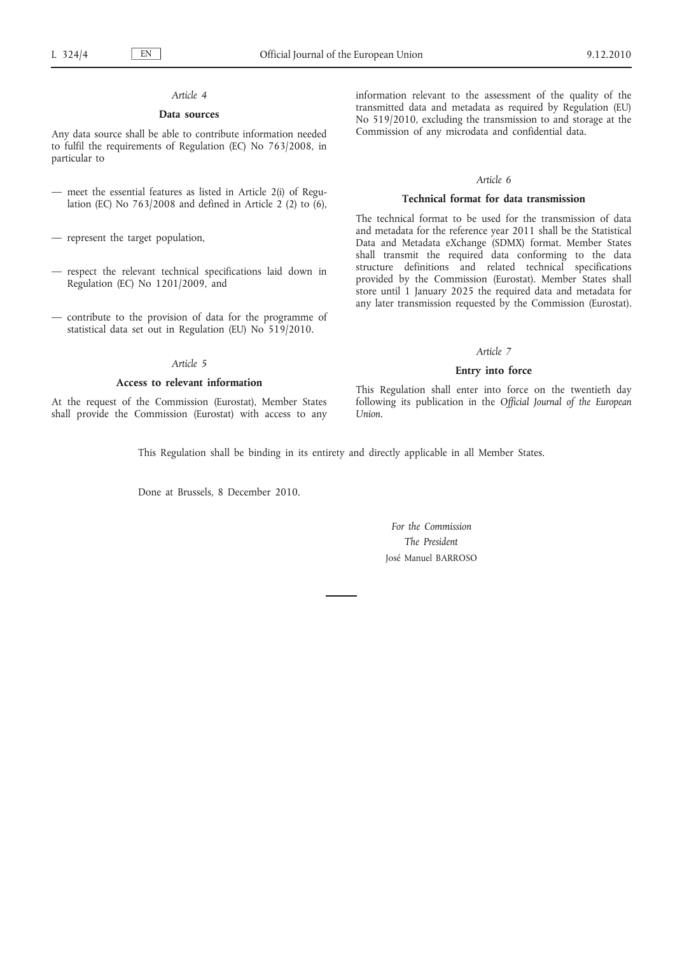# *Article 4*

# **Data sources**

Any data source shall be able to contribute information needed to fulfil the requirements of Regulation (EC) No 763/2008, in particular to

- meet the essential features as listed in Article 2(i) of Regulation (EC) No  $763/2008$  and defined in Article 2 (2) to (6),
- represent the target population,
- respect the relevant technical specifications laid down in Regulation (EC) No 1201/2009, and
- contribute to the provision of data for the programme of statistical data set out in Regulation (EU) No 519/2010.

## *Article 5*

## **Access to relevant information**

At the request of the Commission (Eurostat), Member States shall provide the Commission (Eurostat) with access to any information relevant to the assessment of the quality of the transmitted data and metadata as required by Regulation (EU) No 519/2010, excluding the transmission to and storage at the Commission of any microdata and confidential data.

# *Article 6*

#### **Technical format for data transmission**

The technical format to be used for the transmission of data and metadata for the reference year 2011 shall be the Statistical Data and Metadata eXchange (SDMX) format. Member States shall transmit the required data conforming to the data structure definitions and related technical specifications provided by the Commission (Eurostat). Member States shall store until 1 January 2025 the required data and metadata for any later transmission requested by the Commission (Eurostat).

#### *Article 7*

#### **Entry into force**

This Regulation shall enter into force on the twentieth day following its publication in the *Official Journal of the European Union*.

This Regulation shall be binding in its entirety and directly applicable in all Member States.

Done at Brussels, 8 December 2010.

# *For the Commission The President* José Manuel BARROSO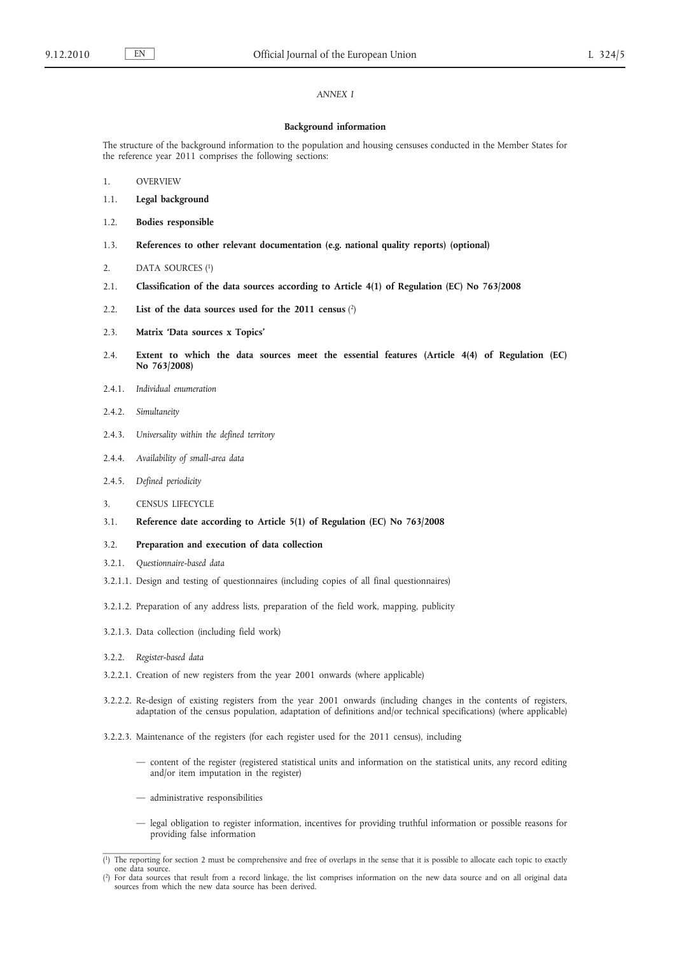# *ANNEX I*

#### **Background information**

The structure of the background information to the population and housing censuses conducted in the Member States for the reference year 2011 comprises the following sections:

- 1. OVERVIEW
- 1.1. **Legal background**
- 1.2. **Bodies responsible**
- 1.3. **References to other relevant documentation (e.g. national quality reports) (optional)**
- 2. DATA SOURCES (1)
- 2.1. **Classification of the data sources according to Article 4(1) of Regulation (EC) No 763/2008**
- 2.2. **List of the data sources used for the 2011 census** (2)
- 2.3. **Matrix 'Data sources x Topics'**
- 2.4. **Extent to which the data sources meet the essential features (Article 4(4) of Regulation (EC) No 763/2008)**
- 2.4.1. *Individual enumeration*
- 2.4.2. *Simultaneity*
- 2.4.3. *Universality within the defined territory*
- 2.4.4. *Availability of small-area data*
- 2.4.5. *Defined periodicity*
- 3. CENSUS LIFECYCLE
- 3.1. **Reference date according to Article 5(1) of Regulation (EC) No 763/2008**
- 3.2. **Preparation and execution of data collection**
- 3.2.1. *Questionnaire-based data*
- 3.2.1.1. Design and testing of questionnaires (including copies of all final questionnaires)
- 3.2.1.2. Preparation of any address lists, preparation of the field work, mapping, publicity
- 3.2.1.3. Data collection (including field work)
- 3.2.2. *Register-based data*
- 3.2.2.1. Creation of new registers from the year 2001 onwards (where applicable)
- 3.2.2.2. Re-design of existing registers from the year 2001 onwards (including changes in the contents of registers, adaptation of the census population, adaptation of definitions and/or technical specifications) (where applicable)
- 3.2.2.3. Maintenance of the registers (for each register used for the 2011 census), including
	- content of the register (registered statistical units and information on the statistical units, any record editing and/or item imputation in the register)
	- administrative responsibilities
	- legal obligation to register information, incentives for providing truthful information or possible reasons for providing false information

<sup>(</sup> 1) The reporting for section 2 must be comprehensive and free of overlaps in the sense that it is possible to allocate each topic to exactly one data source.

<sup>(</sup> 2) For data sources that result from a record linkage, the list comprises information on the new data source and on all original data sources from which the new data source has been derived.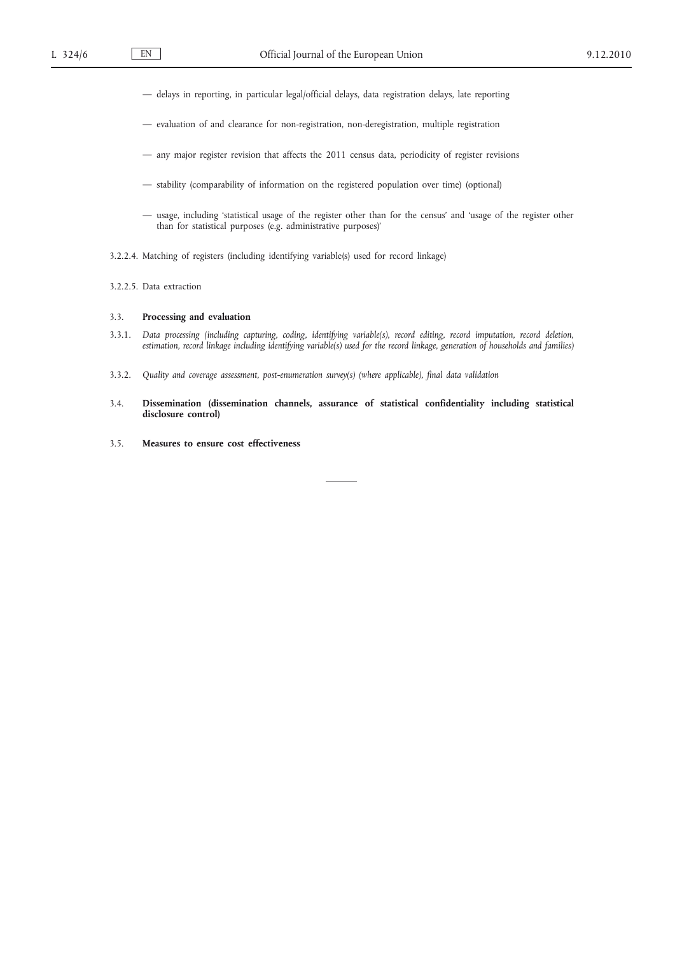- delays in reporting, in particular legal/official delays, data registration delays, late reporting
- evaluation of and clearance for non-registration, non-deregistration, multiple registration
- any major register revision that affects the 2011 census data, periodicity of register revisions
- stability (comparability of information on the registered population over time) (optional)
- usage, including 'statistical usage of the register other than for the census' and 'usage of the register other than for statistical purposes (e.g. administrative purposes)'
- 3.2.2.4. Matching of registers (including identifying variable(s) used for record linkage)
- 3.2.2.5. Data extraction

#### 3.3. **Processing and evaluation**

- 3.3.1. *Data processing (including capturing, coding, identifying variable(s), record editing, record imputation, record deletion, estimation, record linkage including identifying variable(s) used for the record linkage, generation of households and families)*
- 3.3.2. *Quality and coverage assessment, post-enumeration survey(s) (where applicable), final data validation*
- 3.4. **Dissemination (dissemination channels, assurance of statistical confidentiality including statistical disclosure control)**
- 3.5. **Measures to ensure cost effectiveness**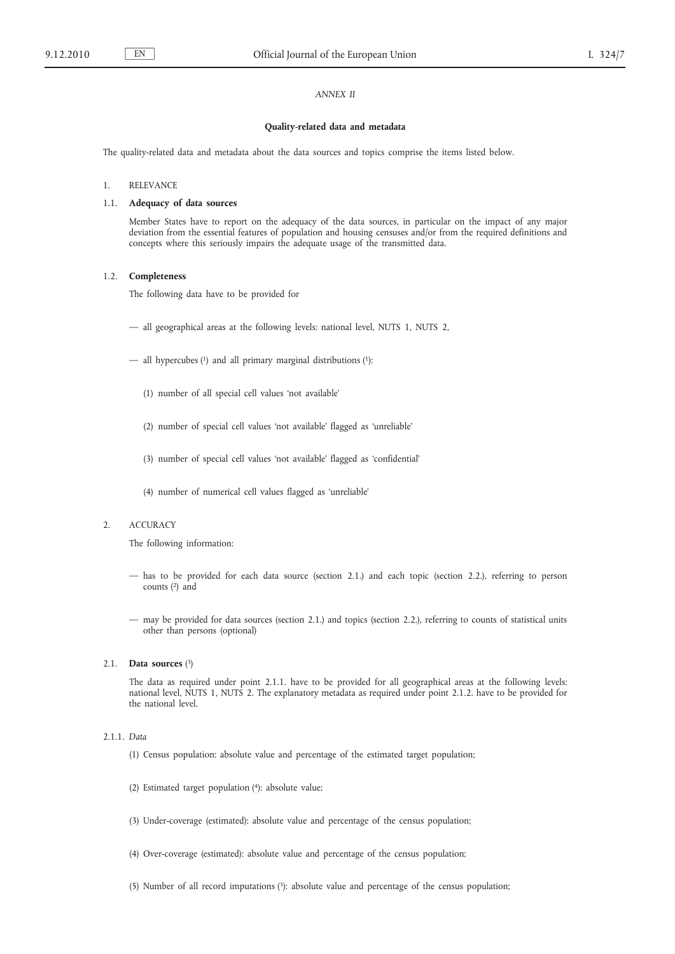# *ANNEX II*

#### **Quality-related data and metadata**

The quality-related data and metadata about the data sources and topics comprise the items listed below.

#### 1. RELEVANCE

# 1.1. **Adequacy of data sources**

Member States have to report on the adequacy of the data sources, in particular on the impact of any major deviation from the essential features of population and housing censuses and/or from the required definitions and concepts where this seriously impairs the adequate usage of the transmitted data.

#### 1.2. **Completeness**

The following data have to be provided for

- all geographical areas at the following levels: national level, NUTS 1, NUTS 2,
- all hypercubes  $(1)$  and all primary marginal distributions  $(1)$ :
	- (1) number of all special cell values 'not available'
	- (2) number of special cell values 'not available' flagged as 'unreliable'
	- (3) number of special cell values 'not available' flagged as 'confidential'
	- (4) number of numerical cell values flagged as 'unreliable'

# 2. ACCURACY

The following information:

- has to be provided for each data source (section 2.1.) and each topic (section 2.2.), referring to person counts (2) and
- may be provided for data sources (section 2.1.) and topics (section 2.2.), referring to counts of statistical units other than persons (optional)

#### 2.1. **Data sources** (3)

The data as required under point 2.1.1. have to be provided for all geographical areas at the following levels: national level, NUTS 1, NUTS 2. The explanatory metadata as required under point 2.1.2. have to be provided for the national level.

# 2.1.1. *Data*

- (1) Census population: absolute value and percentage of the estimated target population;
- (2) Estimated target population (4): absolute value;
- (3) Under-coverage (estimated): absolute value and percentage of the census population;
- (4) Over-coverage (estimated): absolute value and percentage of the census population;
- (5) Number of all record imputations  $(5)$ : absolute value and percentage of the census population;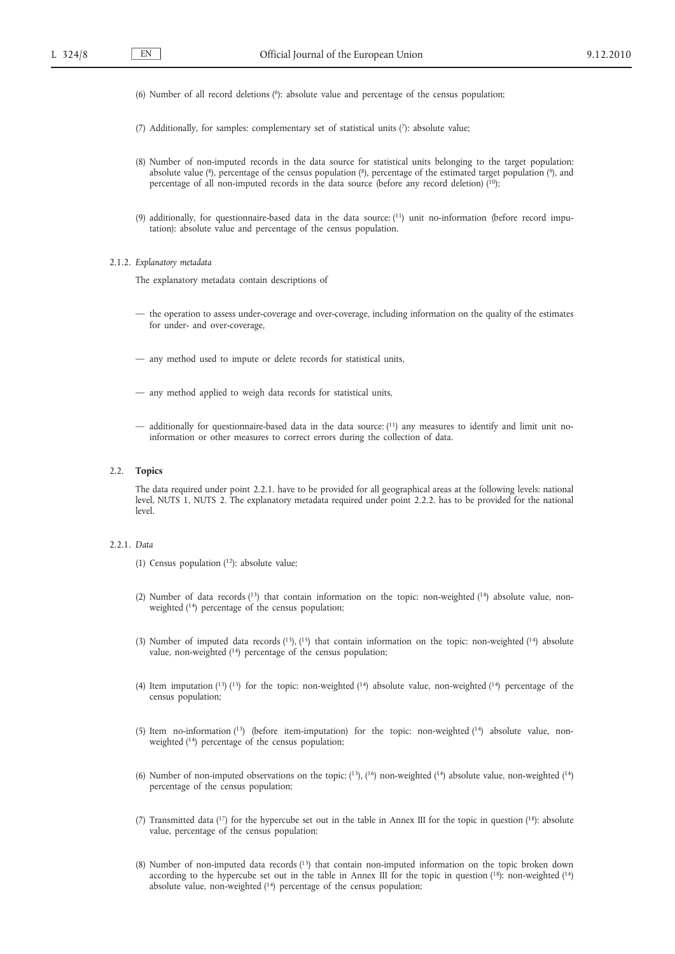- (6) Number of all record deletions  $(6)$ : absolute value and percentage of the census population;
- (7) Additionally, for samples: complementary set of statistical units (7): absolute value;
- (8) Number of non-imputed records in the data source for statistical units belonging to the target population: absolute value (8), percentage of the census population (8), percentage of the estimated target population (9), and percentage of all non-imputed records in the data source (before any record deletion)  $(10)$ ;
- (9) additionally, for questionnaire-based data in the data source: (11) unit no-information (before record imputation): absolute value and percentage of the census population.

#### 2.1.2. *Explanatory metadata*

The explanatory metadata contain descriptions of

- the operation to assess under-coverage and over-coverage, including information on the quality of the estimates for under- and over-coverage,
- any method used to impute or delete records for statistical units,
- any method applied to weigh data records for statistical units,
- additionally for questionnaire-based data in the data source: (11) any measures to identify and limit unit noinformation or other measures to correct errors during the collection of data.

#### 2.2. **Topics**

The data required under point 2.2.1. have to be provided for all geographical areas at the following levels: national level, NUTS 1, NUTS 2. The explanatory metadata required under point 2.2.2. has to be provided for the national level.

# 2.2.1. *Data*

- (1) Census population  $(1^2)$ : absolute value;
- (2) Number of data records (13) that contain information on the topic: non-weighted (14) absolute value, nonweighted (<sup>14</sup>) percentage of the census population;
- (3) Number of imputed data records  $(^{13})$ ,  $(^{15})$  that contain information on the topic: non-weighted  $(^{14})$  absolute value, non-weighted (<sup>14</sup>) percentage of the census population;
- (4) Item imputation  $(13)$   $(15)$  for the topic: non-weighted  $(14)$  absolute value, non-weighted  $(14)$  percentage of the census population;
- (5) Item no-information  $(13)$  (before item-imputation) for the topic: non-weighted  $(14)$  absolute value, nonweighted (14) percentage of the census population;
- (6) Number of non-imputed observations on the topic:  $(^{13})$ ,  $(^{16})$  non-weighted  $(^{14})$  absolute value, non-weighted  $(^{14})$ percentage of the census population;
- (7) Transmitted data (17) for the hypercube set out in the table in Annex III for the topic in question (18): absolute value, percentage of the census population;
- (8) Number of non-imputed data records (13) that contain non-imputed information on the topic broken down according to the hypercube set out in the table in Annex III for the topic in question (18): non-weighted (14) absolute value, non-weighted  $(14)$  percentage of the census population;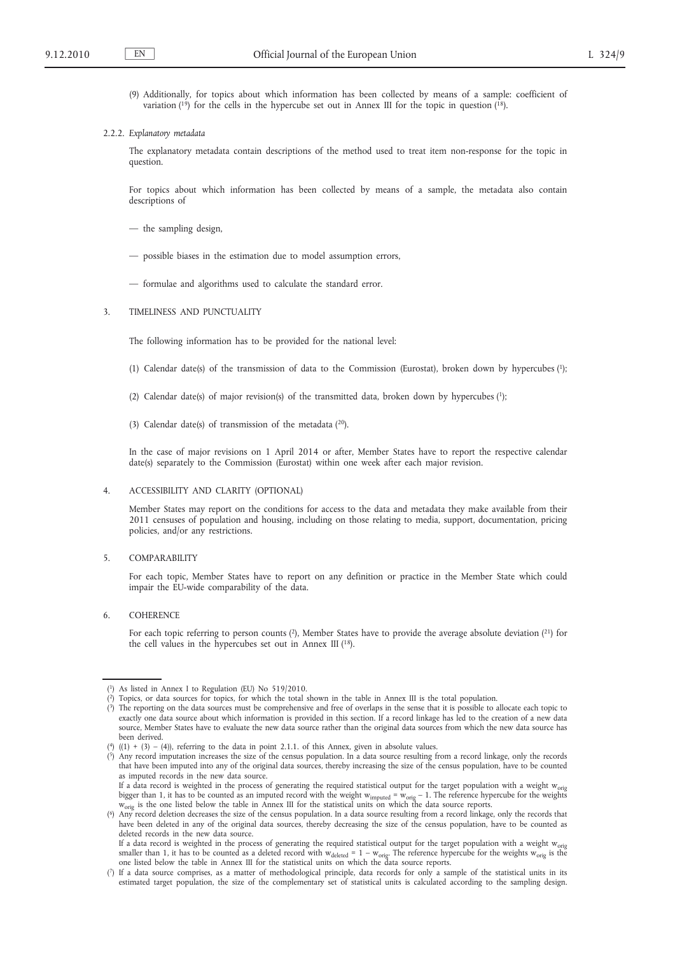(9) Additionally, for topics about which information has been collected by means of a sample: coefficient of variation  $(19)$  for the cells in the hypercube set out in Annex III for the topic in question  $(18)$ .

#### 2.2.2. *Explanatory metadata*

The explanatory metadata contain descriptions of the method used to treat item non-response for the topic in question.

For topics about which information has been collected by means of a sample, the metadata also contain descriptions of

- the sampling design,
- possible biases in the estimation due to model assumption errors,
- formulae and algorithms used to calculate the standard error.

#### 3. TIMELINESS AND PUNCTUALITY

The following information has to be provided for the national level:

- (1) Calendar date(s) of the transmission of data to the Commission (Eurostat), broken down by hypercubes (1);
- (2) Calendar date(s) of major revision(s) of the transmitted data, broken down by hypercubes (1);
- (3) Calendar date(s) of transmission of the metadata  $(20)$ .

In the case of major revisions on 1 April 2014 or after, Member States have to report the respective calendar date(s) separately to the Commission (Eurostat) within one week after each major revision.

#### 4. ACCESSIBILITY AND CLARITY (OPTIONAL)

Member States may report on the conditions for access to the data and metadata they make available from their 2011 censuses of population and housing, including on those relating to media, support, documentation, pricing policies, and/or any restrictions.

#### 5. COMPARABILITY

For each topic, Member States have to report on any definition or practice in the Member State which could impair the EU-wide comparability of the data.

6. COHERENCE

For each topic referring to person counts (2), Member States have to provide the average absolute deviation (21) for the cell values in the hypercubes set out in Annex III  $(^{18})$ .

<sup>(</sup> 1) As listed in Annex I to Regulation (EU) No 519/2010.

<sup>(</sup> 2) Topics, or data sources for topics, for which the total shown in the table in Annex III is the total population.

<sup>(</sup> 3) The reporting on the data sources must be comprehensive and free of overlaps in the sense that it is possible to allocate each topic to exactly one data source about which information is provided in this section. If a record linkage has led to the creation of a new data source, Member States have to evaluate the new data source rather than the original data sources from which the new data source has been derived.

<sup>(4)</sup>  $((1) + (3) - (4))$ , referring to the data in point 2.1.1. of this Annex, given in absolute values.

<sup>(</sup> 5) Any record imputation increases the size of the census population. In a data source resulting from a record linkage, only the records that have been imputed into any of the original data sources, thereby increasing the size of the census population, have to be counted as imputed records in the new data source.

If a data record is weighted in the process of generating the required statistical output for the target population with a weight w<sub>orig</sub> bigger than 1, it has to be counted as an imputed record with the weight  $w_{imputed} = w_{orig} - 1$ . The reference hypercube for the weights W<sub>orig</sub> is the one listed below the table in Annex III for the statistical units on which the data source reports.

<sup>(</sup> 6) Any record deletion decreases the size of the census population. In a data source resulting from a record linkage, only the records that have been deleted in any of the original data sources, thereby decreasing the size of the census population, have to be counted as deleted records in the new data source.

If a data record is weighted in the process of generating the required statistical output for the target population with a weight w<sub>orig</sub> smaller than 1, it has to be counted as a deleted record with  $w_{\text{deleted}} = 1 - w_{\text{orig}}$ . The reference hypercube for the weights  $w_{\text{orig}}$  is the one listed below the table in Annex III for the statistical units on which the d

<sup>(</sup> 7) If a data source comprises, as a matter of methodological principle, data records for only a sample of the statistical units in its estimated target population, the size of the complementary set of statistical units is calculated according to the sampling design.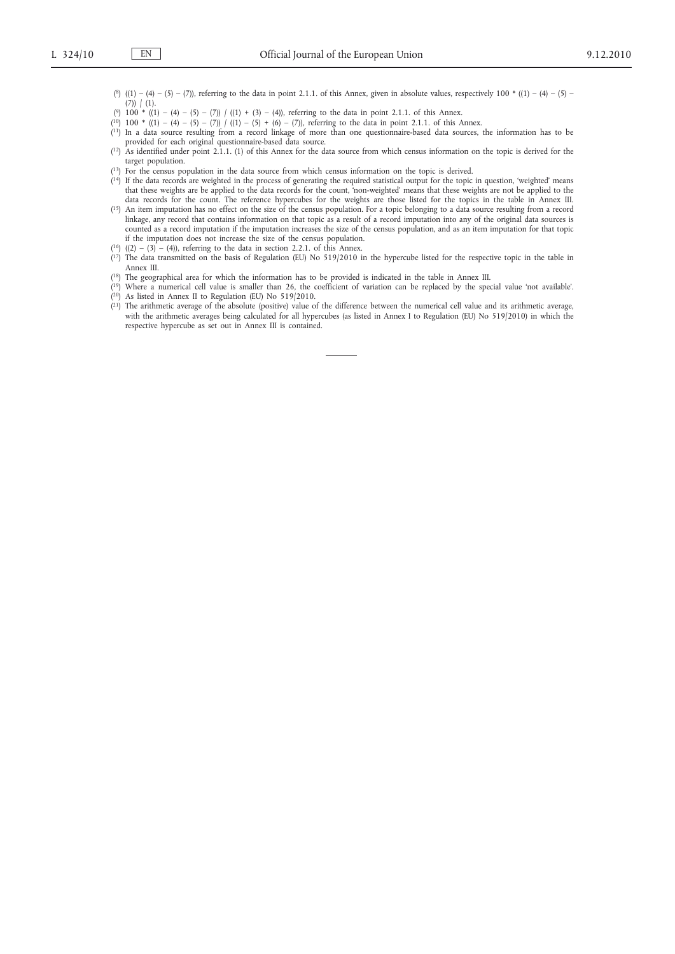(8) ((1) – (4) – (5) – (7)), referring to the data in point 2.1.1. of this Annex, given in absolute values, respectively 100  $*(1)$  – (4) – (5) –  $(7)$ )  $(1)$ .

(?) 100 \* ((1) – (4) – (5) – (7)) / ((1) + (3) – (4)), referring to the data in point 2.1.1. of this Annex.

- $(1^0)$  100 \*  $((1) (4) (5) (7))$   $/(1) (5) + (6) (7)$ , referring to the data in point 2.1.1. of this Annex.
- ( 11) In a data source resulting from a record linkage of more than one questionnaire-based data sources, the information has to be provided for each original questionnaire-based data source.
- ( 12) As identified under point 2.1.1. (1) of this Annex for the data source from which census information on the topic is derived for the target population.
- ( 13) For the census population in the data source from which census information on the topic is derived.
- $(14)$  If the data records are weighted in the process of generating the required statistical output for the topic in question, 'weighted' means that these weights are be applied to the data records for the count, 'non-weighted' means that these weights are not be applied to the data records for the count. The reference hypercubes for the weights are those listed for the topics in the table in Annex III.
- $(15)$  An item imputation has no effect on the size of the census population. For a topic belonging to a data source resulting from a record linkage, any record that contains information on that topic as a result of a record imputation into any of the original data sources is counted as a record imputation if the imputation increases the size of the census population, and as an item imputation for that topic if the imputation does not increase the size of the census population.
- $(16)$   $((2) (3) (4))$ , referring to the data in section 2.2.1. of this Annex.
- ( 17) The data transmitted on the basis of Regulation (EU) No 519/2010 in the hypercube listed for the respective topic in the table in Annex III.
- ( 18) The geographical area for which the information has to be provided is indicated in the table in Annex III.
- ( 19) Where a numerical cell value is smaller than 26, the coefficient of variation can be replaced by the special value 'not available'. ( 20) As listed in Annex II to Regulation (EU) No 519/2010.
- $(2<sup>1</sup>)$  The arithmetic average of the absolute (positive) value of the difference between the numerical cell value and its arithmetic average, with the arithmetic averages being calculated for all hypercubes (as listed in Annex I to Regulation (EU) No 519/2010) in which the respective hypercube as set out in Annex III is contained.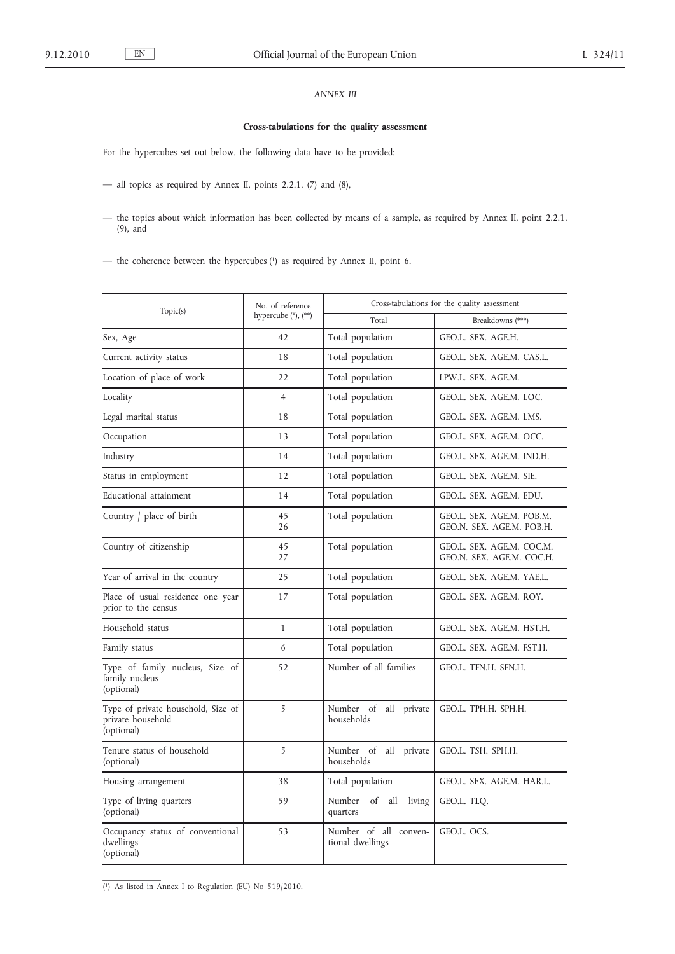# *ANNEX III*

# **Cross-tabulations for the quality assessment**

For the hypercubes set out below, the following data have to be provided:

— all topics as required by Annex II, points 2.2.1. (7) and (8),

— the topics about which information has been collected by means of a sample, as required by Annex II, point 2.2.1. (9), and

— the coherence between the hypercubes (1) as required by Annex II, point 6.

| Topic(s)                                                              | No. of reference<br>hypercube $(*)$ , $(**)$ | Cross-tabulations for the quality assessment |                                                        |
|-----------------------------------------------------------------------|----------------------------------------------|----------------------------------------------|--------------------------------------------------------|
|                                                                       |                                              | Total                                        | Breakdowns (***)                                       |
| Sex, Age                                                              | 42                                           | Total population                             | GEO.L. SEX. AGE.H.                                     |
| Current activity status                                               | 18                                           | Total population                             | GEO.L. SEX. AGE.M. CAS.L.                              |
| Location of place of work                                             | 22                                           | Total population                             | LPW.L. SEX. AGE.M.                                     |
| Locality                                                              | $\overline{4}$                               | Total population                             | GEO.L. SEX. AGE.M. LOC.                                |
| Legal marital status                                                  | 18                                           | Total population                             | GEO.L. SEX. AGE.M. LMS.                                |
| Occupation                                                            | 13                                           | Total population                             | GEO.L. SEX. AGE.M. OCC.                                |
| Industry                                                              | 14                                           | Total population                             | GEO.L. SEX. AGE.M. IND.H.                              |
| Status in employment                                                  | 12                                           | Total population                             | GEO.L. SEX. AGE.M. SIE.                                |
| Educational attainment                                                | 14                                           | Total population                             | GEO.L. SEX. AGE.M. EDU.                                |
| Country / place of birth                                              | 45<br>26                                     | Total population                             | GEO.L. SEX. AGE.M. POB.M.<br>GEO.N. SEX. AGE.M. POB.H. |
| Country of citizenship                                                | 45<br>27                                     | Total population                             | GEO.L. SEX. AGE.M. COC.M.<br>GEO.N. SEX. AGE.M. COC.H. |
| Year of arrival in the country                                        | 25                                           | Total population                             | GEO.L. SEX. AGE.M. YAE.L.                              |
| Place of usual residence one year<br>prior to the census              | 17                                           | Total population                             | GEO.L. SEX. AGE.M. ROY.                                |
| Household status                                                      | $\mathbf{1}$                                 | Total population                             | GEO.L. SEX. AGE.M. HST.H.                              |
| Family status                                                         | 6                                            | Total population                             | GEO.L. SEX. AGE.M. FST.H.                              |
| Type of family nucleus, Size of<br>family nucleus<br>(optional)       | 52                                           | Number of all families                       | GEO.L. TFN.H. SFN.H.                                   |
| Type of private household, Size of<br>private household<br>(optional) | 5                                            | Number of all<br>private<br>households       | GEO.L. TPH.H. SPH.H.                                   |
| Tenure status of household<br>(optional)                              | 5                                            | Number of all<br>private<br>households       | GEO.L. TSH. SPH.H.                                     |
| Housing arrangement                                                   | 38                                           | Total population                             | GEO.L. SEX. AGE.M. HAR.L.                              |
| Type of living quarters<br>(optional)                                 | 59                                           | Number<br>of<br>all<br>living<br>quarters    | GEO.L. TLQ.                                            |
| Occupancy status of conventional<br>dwellings<br>(optional)           | 53                                           | Number of all conven-<br>tional dwellings    | GEO.L. OCS.                                            |

( 1) As listed in Annex I to Regulation (EU) No 519/2010.